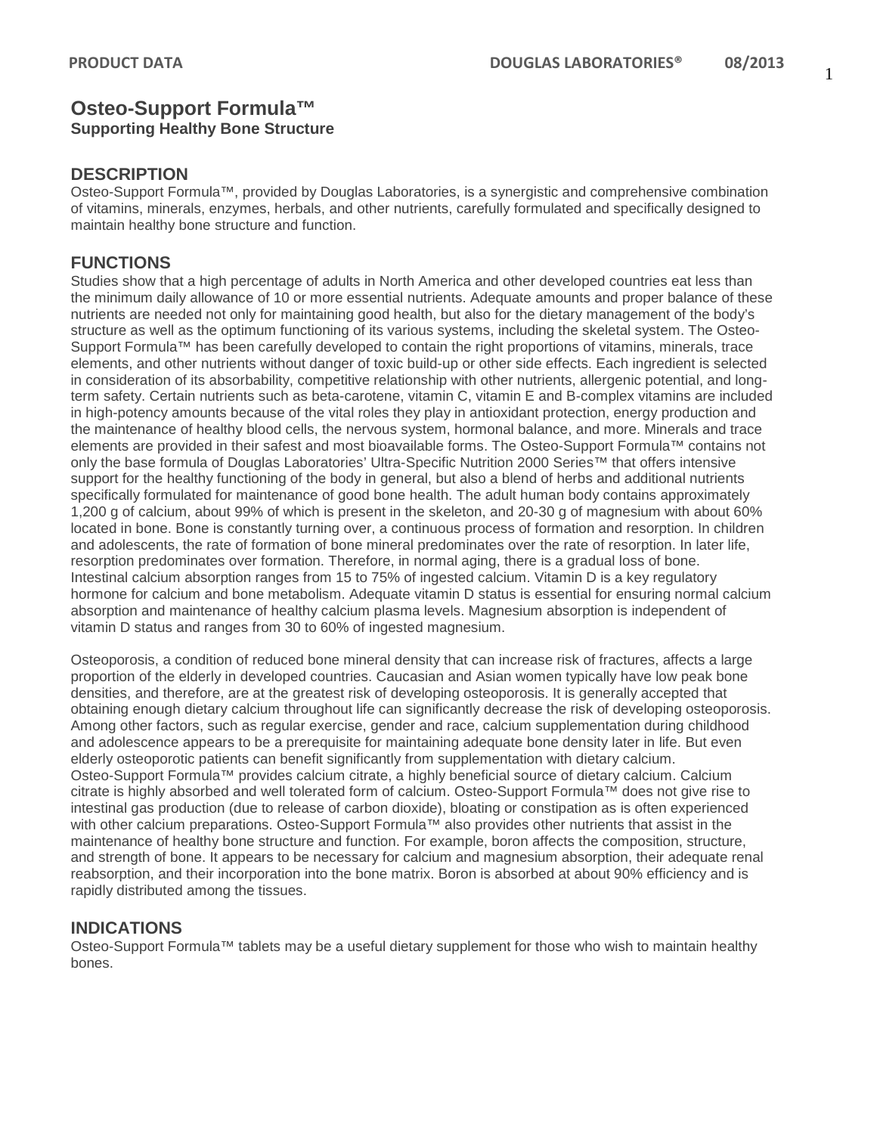# **Osteo-Support Formula™ Supporting Healthy Bone Structure**

## **DESCRIPTION**

Osteo-Support Formula™, provided by Douglas Laboratories, is a synergistic and comprehensive combination of vitamins, minerals, enzymes, herbals, and other nutrients, carefully formulated and specifically designed to maintain healthy bone structure and function.

# **FUNCTIONS**

Studies show that a high percentage of adults in North America and other developed countries eat less than the minimum daily allowance of 10 or more essential nutrients. Adequate amounts and proper balance of these nutrients are needed not only for maintaining good health, but also for the dietary management of the body's structure as well as the optimum functioning of its various systems, including the skeletal system. The Osteo-Support Formula™ has been carefully developed to contain the right proportions of vitamins, minerals, trace elements, and other nutrients without danger of toxic build-up or other side effects. Each ingredient is selected in consideration of its absorbability, competitive relationship with other nutrients, allergenic potential, and longterm safety. Certain nutrients such as beta-carotene, vitamin C, vitamin E and B-complex vitamins are included in high-potency amounts because of the vital roles they play in antioxidant protection, energy production and the maintenance of healthy blood cells, the nervous system, hormonal balance, and more. Minerals and trace elements are provided in their safest and most bioavailable forms. The Osteo-Support Formula™ contains not only the base formula of Douglas Laboratories' Ultra-Specific Nutrition 2000 Series™ that offers intensive support for the healthy functioning of the body in general, but also a blend of herbs and additional nutrients specifically formulated for maintenance of good bone health. The adult human body contains approximately 1,200 g of calcium, about 99% of which is present in the skeleton, and 20-30 g of magnesium with about 60% located in bone. Bone is constantly turning over, a continuous process of formation and resorption. In children and adolescents, the rate of formation of bone mineral predominates over the rate of resorption. In later life, resorption predominates over formation. Therefore, in normal aging, there is a gradual loss of bone. Intestinal calcium absorption ranges from 15 to 75% of ingested calcium. Vitamin D is a key regulatory hormone for calcium and bone metabolism. Adequate vitamin D status is essential for ensuring normal calcium absorption and maintenance of healthy calcium plasma levels. Magnesium absorption is independent of vitamin D status and ranges from 30 to 60% of ingested magnesium.

Osteoporosis, a condition of reduced bone mineral density that can increase risk of fractures, affects a large proportion of the elderly in developed countries. Caucasian and Asian women typically have low peak bone densities, and therefore, are at the greatest risk of developing osteoporosis. It is generally accepted that obtaining enough dietary calcium throughout life can significantly decrease the risk of developing osteoporosis. Among other factors, such as regular exercise, gender and race, calcium supplementation during childhood and adolescence appears to be a prerequisite for maintaining adequate bone density later in life. But even elderly osteoporotic patients can benefit significantly from supplementation with dietary calcium. Osteo-Support Formula™ provides calcium citrate, a highly beneficial source of dietary calcium. Calcium citrate is highly absorbed and well tolerated form of calcium. Osteo-Support Formula™ does not give rise to intestinal gas production (due to release of carbon dioxide), bloating or constipation as is often experienced with other calcium preparations. Osteo-Support Formula™ also provides other nutrients that assist in the maintenance of healthy bone structure and function. For example, boron affects the composition, structure, and strength of bone. It appears to be necessary for calcium and magnesium absorption, their adequate renal reabsorption, and their incorporation into the bone matrix. Boron is absorbed at about 90% efficiency and is rapidly distributed among the tissues.

## **INDICATIONS**

Osteo-Support Formula™ tablets may be a useful dietary supplement for those who wish to maintain healthy bones.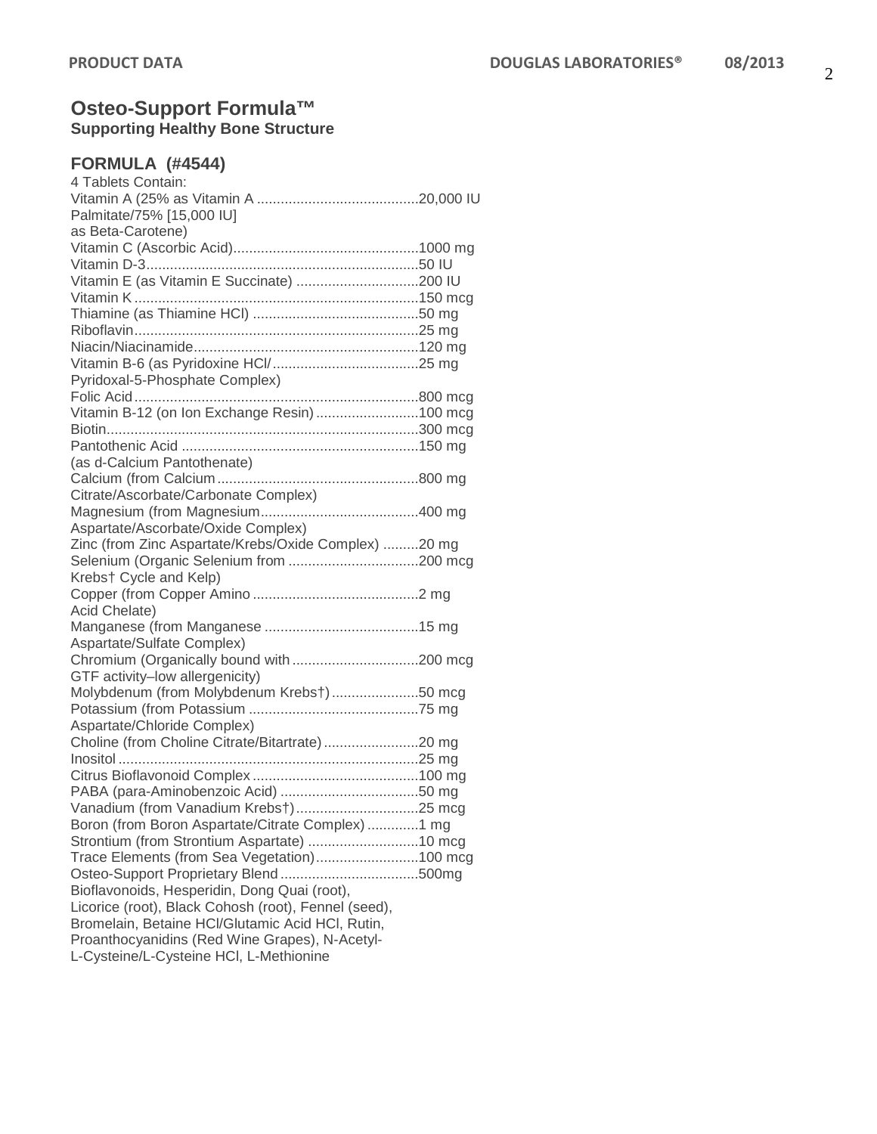### **Osteo-Support Formula™ Supporting Healthy Bone Structure**

### **FORMULA (#4544)**

| 4 Tablets Contain:                                   |  |
|------------------------------------------------------|--|
|                                                      |  |
| Palmitate/75% [15,000 IU]                            |  |
| as Beta-Carotene)                                    |  |
|                                                      |  |
|                                                      |  |
|                                                      |  |
|                                                      |  |
|                                                      |  |
|                                                      |  |
|                                                      |  |
|                                                      |  |
|                                                      |  |
| Pyridoxal-5-Phosphate Complex)                       |  |
|                                                      |  |
| Vitamin B-12 (on Ion Exchange Resin) 100 mcg         |  |
|                                                      |  |
|                                                      |  |
| (as d-Calcium Pantothenate)                          |  |
|                                                      |  |
| Citrate/Ascorbate/Carbonate Complex)                 |  |
|                                                      |  |
| Aspartate/Ascorbate/Oxide Complex)                   |  |
| Zinc (from Zinc Aspartate/Krebs/Oxide Complex) 20 mg |  |
|                                                      |  |
| Krebs† Cycle and Kelp)                               |  |
|                                                      |  |
| Acid Chelate)                                        |  |
|                                                      |  |
| Aspartate/Sulfate Complex)                           |  |
|                                                      |  |
| GTF activity-low allergenicity)                      |  |
|                                                      |  |
| Molybdenum (from Molybdenum Krebs†)50 mcg            |  |
|                                                      |  |
| Aspartate/Chloride Complex)                          |  |
| Choline (from Choline Citrate/Bitartrate) 20 mg      |  |
|                                                      |  |
|                                                      |  |
|                                                      |  |
|                                                      |  |
| Boron (from Boron Aspartate/Citrate Complex) 1 mg    |  |
|                                                      |  |
| Trace Elements (from Sea Vegetation)100 mcg          |  |
|                                                      |  |
| Bioflavonoids, Hesperidin, Dong Quai (root),         |  |
| Licorice (root), Black Cohosh (root), Fennel (seed), |  |
| Bromelain, Betaine HCl/Glutamic Acid HCl, Rutin,     |  |
| Proanthocyanidins (Red Wine Grapes), N-Acetyl-       |  |
| L-Cysteine/L-Cysteine HCI, L-Methionine              |  |
|                                                      |  |